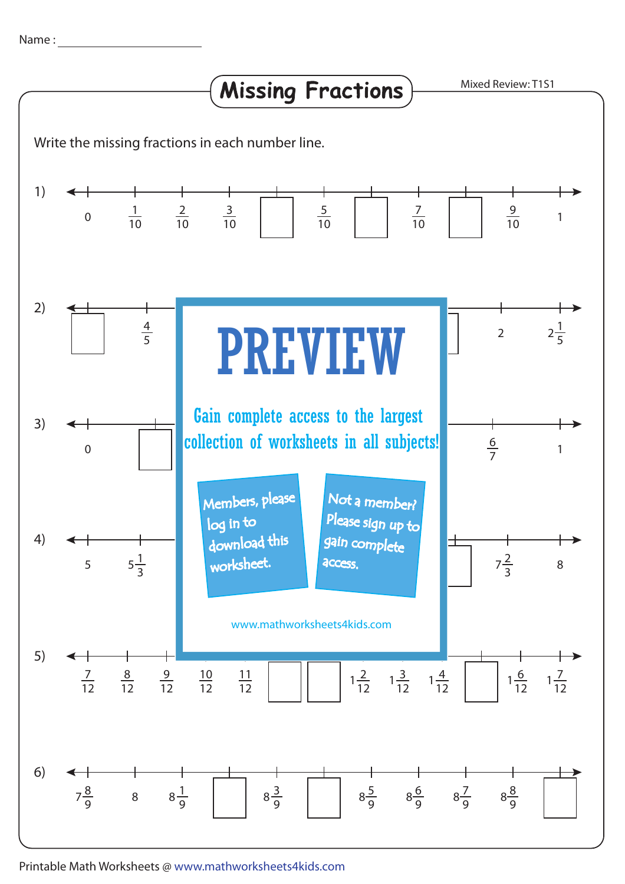